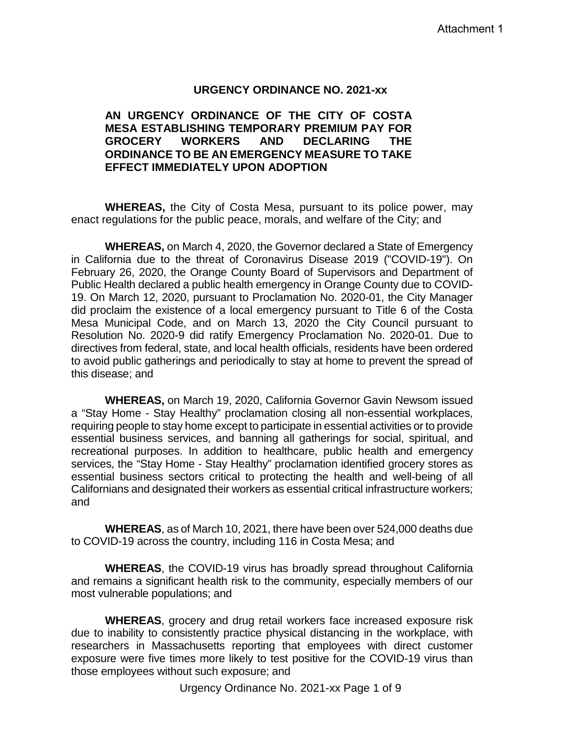#### **URGENCY ORDINANCE NO. 2021-xx**

#### **AN URGENCY ORDINANCE OF THE CITY OF COSTA MESA ESTABLISHING TEMPORARY PREMIUM PAY FOR GROCERY WORKERS AND DECLARING THE ORDINANCE TO BE AN EMERGENCY MEASURE TO TAKE EFFECT IMMEDIATELY UPON ADOPTION**

**WHEREAS,** the City of Costa Mesa, pursuant to its police power, may enact regulations for the public peace, morals, and welfare of the City; and

**WHEREAS,** on March 4, 2020, the Governor declared a State of Emergency in California due to the threat of Coronavirus Disease 2019 ("COVID-19"). On February 26, 2020, the Orange County Board of Supervisors and Department of Public Health declared a public health emergency in Orange County due to COVID-19. On March 12, 2020, pursuant to Proclamation No. 2020-01, the City Manager did proclaim the existence of a local emergency pursuant to Title 6 of the Costa Mesa Municipal Code, and on March 13, 2020 the City Council pursuant to Resolution No. 2020-9 did ratify Emergency Proclamation No. 2020-01. Due to directives from federal, state, and local health officials, residents have been ordered to avoid public gatherings and periodically to stay at home to prevent the spread of this disease; and

**WHEREAS,** on March 19, 2020, California Governor Gavin Newsom issued a "Stay Home - Stay Healthy" proclamation closing all non-essential workplaces, requiring people to stay home except to participate in essential activities or to provide essential business services, and banning all gatherings for social, spiritual, and recreational purposes. In addition to healthcare, public health and emergency services, the "Stay Home - Stay Healthy" proclamation identified grocery stores as essential business sectors critical to protecting the health and well-being of all Californians and designated their workers as essential critical infrastructure workers; and

**WHEREAS**, as of March 10, 2021, there have been over 524,000 deaths due to COVID-19 across the country, including 116 in Costa Mesa; and

**WHEREAS**, the COVID-19 virus has broadly spread throughout California and remains a significant health risk to the community, especially members of our most vulnerable populations; and

**WHEREAS**, grocery and drug retail workers face increased exposure risk due to inability to consistently practice physical distancing in the workplace, with researchers in Massachusetts reporting that employees with direct customer exposure were five times more likely to test positive for the COVID-19 virus than those employees without such exposure; and

Urgency Ordinance No. 2021-xx Page 1 of 9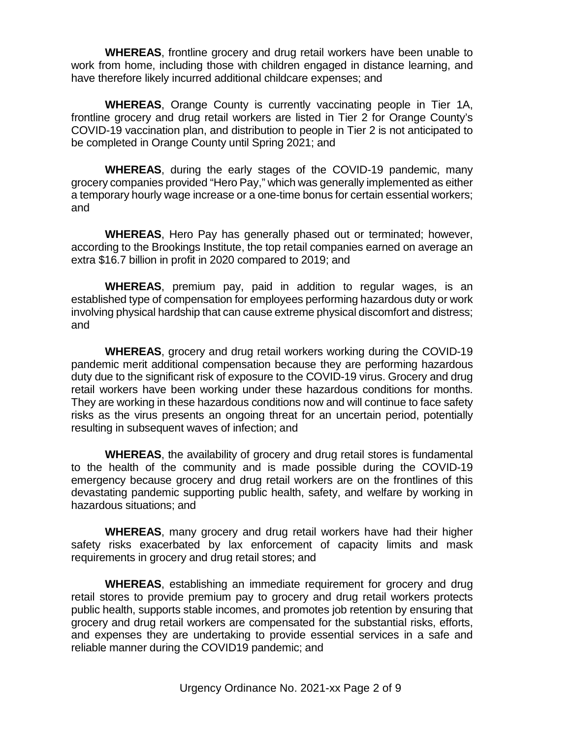**WHEREAS**, frontline grocery and drug retail workers have been unable to work from home, including those with children engaged in distance learning, and have therefore likely incurred additional childcare expenses; and

**WHEREAS**, Orange County is currently vaccinating people in Tier 1A, frontline grocery and drug retail workers are listed in Tier 2 for Orange County's COVID-19 vaccination plan, and distribution to people in Tier 2 is not anticipated to be completed in Orange County until Spring 2021; and

**WHEREAS**, during the early stages of the COVID-19 pandemic, many grocery companies provided "Hero Pay," which was generally implemented as either a temporary hourly wage increase or a one-time bonus for certain essential workers; and

**WHEREAS**, Hero Pay has generally phased out or terminated; however, according to the Brookings Institute, the top retail companies earned on average an extra \$16.7 billion in profit in 2020 compared to 2019; and

**WHEREAS**, premium pay, paid in addition to regular wages, is an established type of compensation for employees performing hazardous duty or work involving physical hardship that can cause extreme physical discomfort and distress; and

**WHEREAS**, grocery and drug retail workers working during the COVID-19 pandemic merit additional compensation because they are performing hazardous duty due to the significant risk of exposure to the COVID-19 virus. Grocery and drug retail workers have been working under these hazardous conditions for months. They are working in these hazardous conditions now and will continue to face safety risks as the virus presents an ongoing threat for an uncertain period, potentially resulting in subsequent waves of infection; and

**WHEREAS**, the availability of grocery and drug retail stores is fundamental to the health of the community and is made possible during the COVID-19 emergency because grocery and drug retail workers are on the frontlines of this devastating pandemic supporting public health, safety, and welfare by working in hazardous situations; and

**WHEREAS**, many grocery and drug retail workers have had their higher safety risks exacerbated by lax enforcement of capacity limits and mask requirements in grocery and drug retail stores; and

**WHEREAS**, establishing an immediate requirement for grocery and drug retail stores to provide premium pay to grocery and drug retail workers protects public health, supports stable incomes, and promotes job retention by ensuring that grocery and drug retail workers are compensated for the substantial risks, efforts, and expenses they are undertaking to provide essential services in a safe and reliable manner during the COVID19 pandemic; and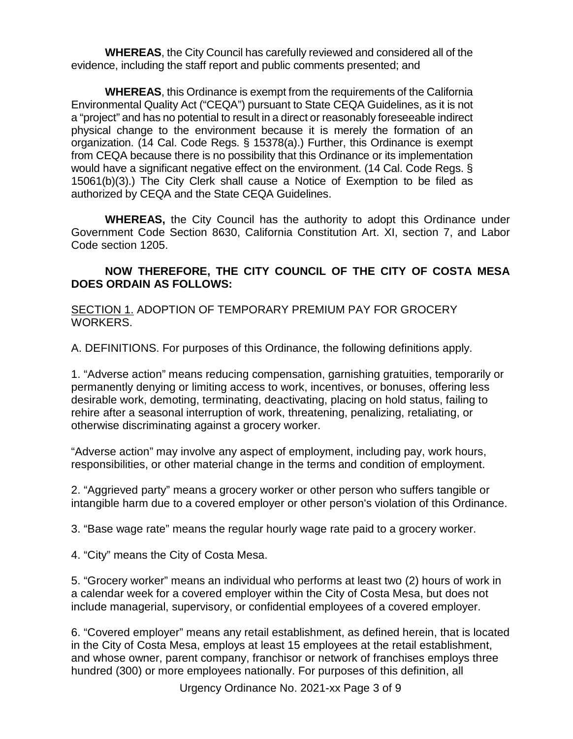**WHEREAS**, the City Council has carefully reviewed and considered all of the evidence, including the staff report and public comments presented; and

**WHEREAS**, this Ordinance is exempt from the requirements of the California Environmental Quality Act ("CEQA") pursuant to State CEQA Guidelines, as it is not a "project" and has no potential to result in a direct or reasonably foreseeable indirect physical change to the environment because it is merely the formation of an organization. (14 Cal. Code Regs. § 15378(a).) Further, this Ordinance is exempt from CEQA because there is no possibility that this Ordinance or its implementation would have a significant negative effect on the environment. (14 Cal. Code Regs. § 15061(b)(3).) The City Clerk shall cause a Notice of Exemption to be filed as authorized by CEQA and the State CEQA Guidelines.

**WHEREAS,** the City Council has the authority to adopt this Ordinance under Government Code Section 8630, California Constitution Art. XI, section 7, and Labor Code section 1205.

## **NOW THEREFORE, THE CITY COUNCIL OF THE CITY OF COSTA MESA DOES ORDAIN AS FOLLOWS:**

SECTION 1. ADOPTION OF TEMPORARY PREMIUM PAY FOR GROCERY WORKERS.

A. DEFINITIONS. For purposes of this Ordinance, the following definitions apply.

1. "Adverse action" means reducing compensation, garnishing gratuities, temporarily or permanently denying or limiting access to work, incentives, or bonuses, offering less desirable work, demoting, terminating, deactivating, placing on hold status, failing to rehire after a seasonal interruption of work, threatening, penalizing, retaliating, or otherwise discriminating against a grocery worker.

"Adverse action" may involve any aspect of employment, including pay, work hours, responsibilities, or other material change in the terms and condition of employment.

2. "Aggrieved party" means a grocery worker or other person who suffers tangible or intangible harm due to a covered employer or other person's violation of this Ordinance.

3. "Base wage rate" means the regular hourly wage rate paid to a grocery worker.

4. "City" means the City of Costa Mesa.

5. "Grocery worker" means an individual who performs at least two (2) hours of work in a calendar week for a covered employer within the City of Costa Mesa, but does not include managerial, supervisory, or confidential employees of a covered employer.

6. "Covered employer" means any retail establishment, as defined herein, that is located in the City of Costa Mesa, employs at least 15 employees at the retail establishment, and whose owner, parent company, franchisor or network of franchises employs three hundred (300) or more employees nationally. For purposes of this definition, all

Urgency Ordinance No. 2021-xx Page 3 of 9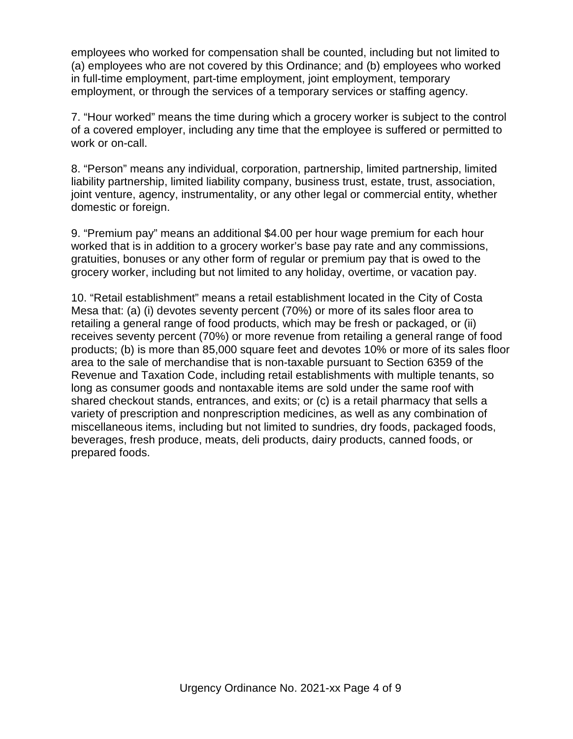employees who worked for compensation shall be counted, including but not limited to (a) employees who are not covered by this Ordinance; and (b) employees who worked in full-time employment, part-time employment, joint employment, temporary employment, or through the services of a temporary services or staffing agency.

7. "Hour worked" means the time during which a grocery worker is subject to the control of a covered employer, including any time that the employee is suffered or permitted to work or on-call.

8. "Person" means any individual, corporation, partnership, limited partnership, limited liability partnership, limited liability company, business trust, estate, trust, association, joint venture, agency, instrumentality, or any other legal or commercial entity, whether domestic or foreign.

9. "Premium pay" means an additional \$4.00 per hour wage premium for each hour worked that is in addition to a grocery worker's base pay rate and any commissions, gratuities, bonuses or any other form of regular or premium pay that is owed to the grocery worker, including but not limited to any holiday, overtime, or vacation pay.

10. "Retail establishment" means a retail establishment located in the City of Costa Mesa that: (a) (i) devotes seventy percent (70%) or more of its sales floor area to retailing a general range of food products, which may be fresh or packaged, or (ii) receives seventy percent (70%) or more revenue from retailing a general range of food products; (b) is more than 85,000 square feet and devotes 10% or more of its sales floor area to the sale of merchandise that is non-taxable pursuant to Section 6359 of the Revenue and Taxation Code, including retail establishments with multiple tenants, so long as consumer goods and nontaxable items are sold under the same roof with shared checkout stands, entrances, and exits; or (c) is a retail pharmacy that sells a variety of prescription and nonprescription medicines, as well as any combination of miscellaneous items, including but not limited to sundries, dry foods, packaged foods, beverages, fresh produce, meats, deli products, dairy products, canned foods, or prepared foods.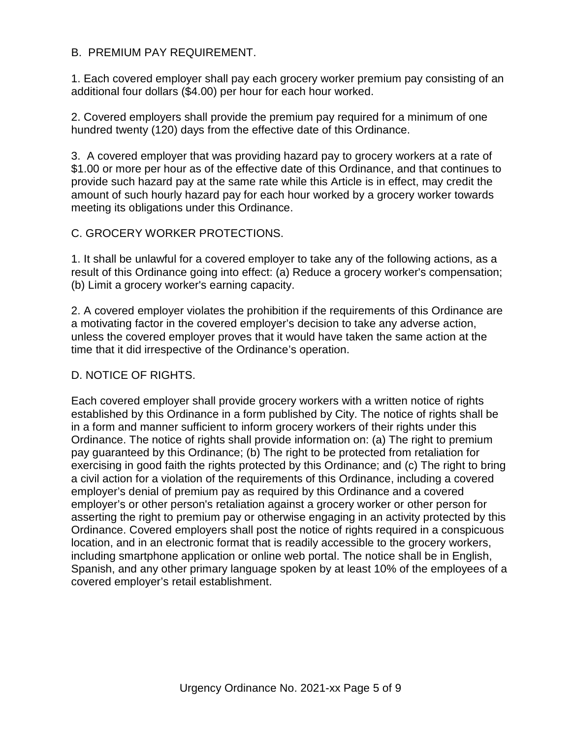## B. PREMIUM PAY REQUIREMENT.

1. Each covered employer shall pay each grocery worker premium pay consisting of an additional four dollars (\$4.00) per hour for each hour worked.

2. Covered employers shall provide the premium pay required for a minimum of one hundred twenty (120) days from the effective date of this Ordinance.

3. A covered employer that was providing hazard pay to grocery workers at a rate of \$1.00 or more per hour as of the effective date of this Ordinance, and that continues to provide such hazard pay at the same rate while this Article is in effect, may credit the amount of such hourly hazard pay for each hour worked by a grocery worker towards meeting its obligations under this Ordinance.

## C. GROCERY WORKER PROTECTIONS.

1. It shall be unlawful for a covered employer to take any of the following actions, as a result of this Ordinance going into effect: (a) Reduce a grocery worker's compensation; (b) Limit a grocery worker's earning capacity.

2. A covered employer violates the prohibition if the requirements of this Ordinance are a motivating factor in the covered employer's decision to take any adverse action, unless the covered employer proves that it would have taken the same action at the time that it did irrespective of the Ordinance's operation.

# D. NOTICE OF RIGHTS.

Each covered employer shall provide grocery workers with a written notice of rights established by this Ordinance in a form published by City. The notice of rights shall be in a form and manner sufficient to inform grocery workers of their rights under this Ordinance. The notice of rights shall provide information on: (a) The right to premium pay guaranteed by this Ordinance; (b) The right to be protected from retaliation for exercising in good faith the rights protected by this Ordinance; and (c) The right to bring a civil action for a violation of the requirements of this Ordinance, including a covered employer's denial of premium pay as required by this Ordinance and a covered employer's or other person's retaliation against a grocery worker or other person for asserting the right to premium pay or otherwise engaging in an activity protected by this Ordinance. Covered employers shall post the notice of rights required in a conspicuous location, and in an electronic format that is readily accessible to the grocery workers, including smartphone application or online web portal. The notice shall be in English, Spanish, and any other primary language spoken by at least 10% of the employees of a covered employer's retail establishment.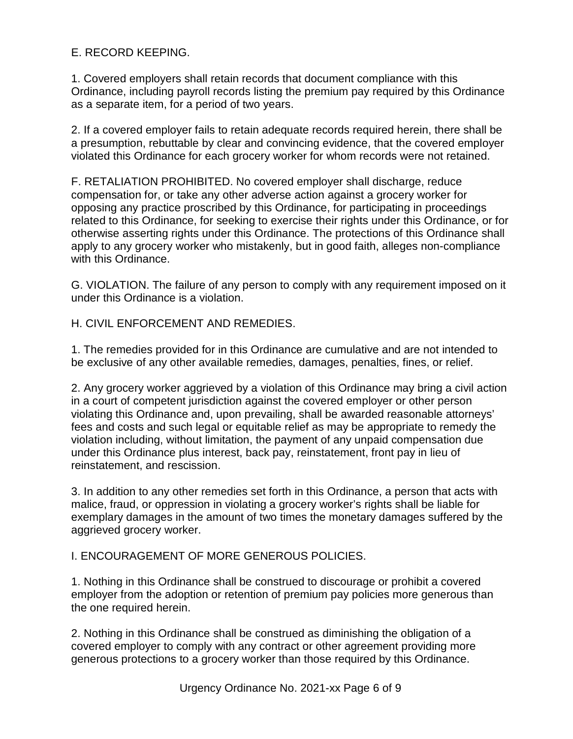# E. RECORD KEEPING.

1. Covered employers shall retain records that document compliance with this Ordinance, including payroll records listing the premium pay required by this Ordinance as a separate item, for a period of two years.

2. If a covered employer fails to retain adequate records required herein, there shall be a presumption, rebuttable by clear and convincing evidence, that the covered employer violated this Ordinance for each grocery worker for whom records were not retained.

F. RETALIATION PROHIBITED. No covered employer shall discharge, reduce compensation for, or take any other adverse action against a grocery worker for opposing any practice proscribed by this Ordinance, for participating in proceedings related to this Ordinance, for seeking to exercise their rights under this Ordinance, or for otherwise asserting rights under this Ordinance. The protections of this Ordinance shall apply to any grocery worker who mistakenly, but in good faith, alleges non-compliance with this Ordinance.

G. VIOLATION. The failure of any person to comply with any requirement imposed on it under this Ordinance is a violation.

H. CIVIL ENFORCEMENT AND REMEDIES.

1. The remedies provided for in this Ordinance are cumulative and are not intended to be exclusive of any other available remedies, damages, penalties, fines, or relief.

2. Any grocery worker aggrieved by a violation of this Ordinance may bring a civil action in a court of competent jurisdiction against the covered employer or other person violating this Ordinance and, upon prevailing, shall be awarded reasonable attorneys' fees and costs and such legal or equitable relief as may be appropriate to remedy the violation including, without limitation, the payment of any unpaid compensation due under this Ordinance plus interest, back pay, reinstatement, front pay in lieu of reinstatement, and rescission.

3. In addition to any other remedies set forth in this Ordinance, a person that acts with malice, fraud, or oppression in violating a grocery worker's rights shall be liable for exemplary damages in the amount of two times the monetary damages suffered by the aggrieved grocery worker.

## I. ENCOURAGEMENT OF MORE GENEROUS POLICIES.

1. Nothing in this Ordinance shall be construed to discourage or prohibit a covered employer from the adoption or retention of premium pay policies more generous than the one required herein.

2. Nothing in this Ordinance shall be construed as diminishing the obligation of a covered employer to comply with any contract or other agreement providing more generous protections to a grocery worker than those required by this Ordinance.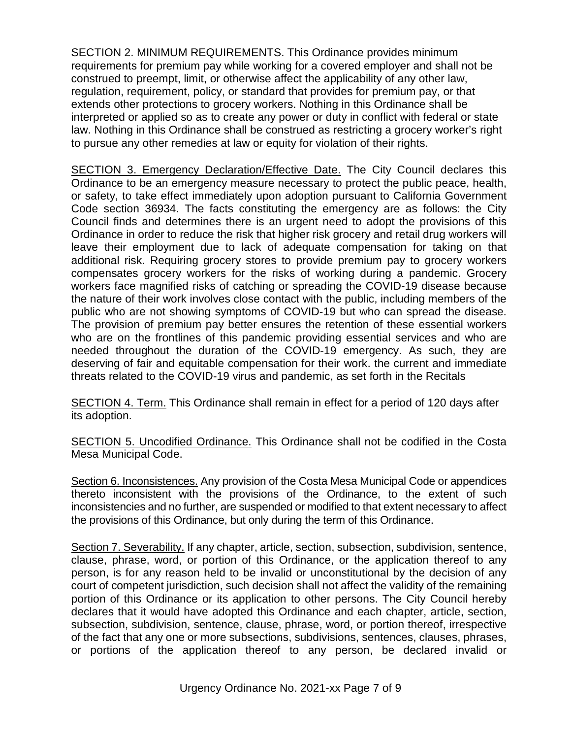SECTION 2. MINIMUM REQUIREMENTS. This Ordinance provides minimum requirements for premium pay while working for a covered employer and shall not be construed to preempt, limit, or otherwise affect the applicability of any other law, regulation, requirement, policy, or standard that provides for premium pay, or that extends other protections to grocery workers. Nothing in this Ordinance shall be interpreted or applied so as to create any power or duty in conflict with federal or state law. Nothing in this Ordinance shall be construed as restricting a grocery worker's right to pursue any other remedies at law or equity for violation of their rights.

SECTION 3. Emergency Declaration/Effective Date. The City Council declares this Ordinance to be an emergency measure necessary to protect the public peace, health, or safety, to take effect immediately upon adoption pursuant to California Government Code section 36934. The facts constituting the emergency are as follows: the City Council finds and determines there is an urgent need to adopt the provisions of this Ordinance in order to reduce the risk that higher risk grocery and retail drug workers will leave their employment due to lack of adequate compensation for taking on that additional risk. Requiring grocery stores to provide premium pay to grocery workers compensates grocery workers for the risks of working during a pandemic. Grocery workers face magnified risks of catching or spreading the COVID-19 disease because the nature of their work involves close contact with the public, including members of the public who are not showing symptoms of COVID-19 but who can spread the disease. The provision of premium pay better ensures the retention of these essential workers who are on the frontlines of this pandemic providing essential services and who are needed throughout the duration of the COVID-19 emergency. As such, they are deserving of fair and equitable compensation for their work. the current and immediate threats related to the COVID-19 virus and pandemic, as set forth in the Recitals

SECTION 4. Term. This Ordinance shall remain in effect for a period of 120 days after its adoption.

SECTION 5. Uncodified Ordinance. This Ordinance shall not be codified in the Costa Mesa Municipal Code.

Section 6. Inconsistences. Any provision of the Costa Mesa Municipal Code or appendices thereto inconsistent with the provisions of the Ordinance, to the extent of such inconsistencies and no further, are suspended or modified to that extent necessary to affect the provisions of this Ordinance, but only during the term of this Ordinance.

Section 7. Severability. If any chapter, article, section, subsection, subdivision, sentence, clause, phrase, word, or portion of this Ordinance, or the application thereof to any person, is for any reason held to be invalid or unconstitutional by the decision of any court of competent jurisdiction, such decision shall not affect the validity of the remaining portion of this Ordinance or its application to other persons. The City Council hereby declares that it would have adopted this Ordinance and each chapter, article, section, subsection, subdivision, sentence, clause, phrase, word, or portion thereof, irrespective of the fact that any one or more subsections, subdivisions, sentences, clauses, phrases, or portions of the application thereof to any person, be declared invalid or